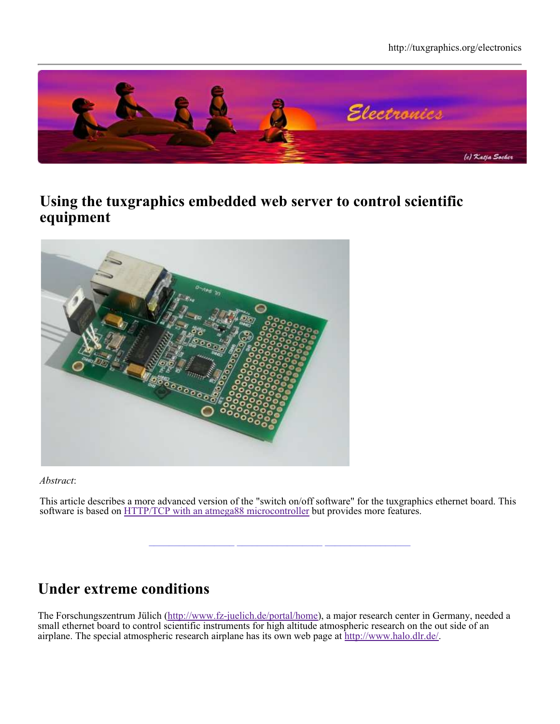

#### **Using the tuxgraphics embedded web server to control scientific equipment**



*Abstract*:

This article describes a more advanced version of the "switch on/off software" for the tuxgraphics ethernet board. This software is based on **HTTP/TCP** with an atmega88 microcontroller but provides more features.

**\_\_\_\_\_\_\_\_\_\_\_\_\_\_\_\_\_ \_\_\_\_\_\_\_\_\_\_\_\_\_\_\_\_\_ \_\_\_\_\_\_\_\_\_\_\_\_\_\_\_\_\_**

# **Under extreme conditions**

The Forschungszentrum Jülich (http://www.fz-juelich.de/portal/home), a major research center in Germany, needed a small ethernet board to control scientific instruments for high altitude atmospheric research on the out side of an airplane. The special atmospheric research airplane has its own web page at http://www.halo.dlr.de/.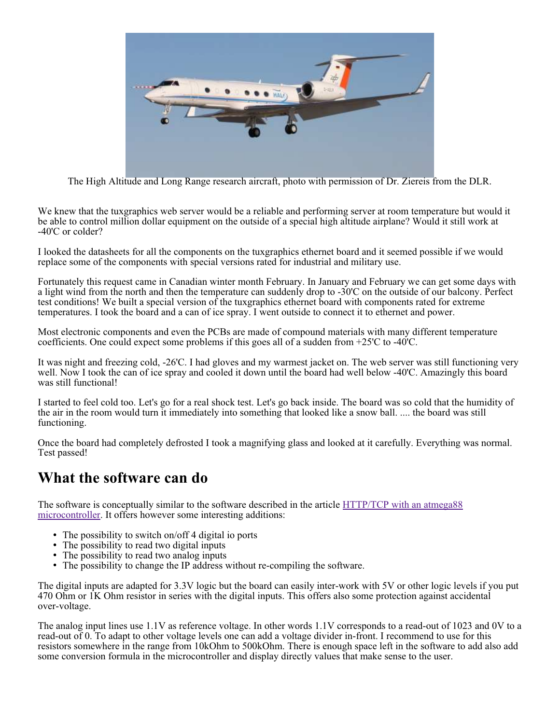

The High Altitude and Long Range research aircraft, photo with permission of Dr. Ziereis from the DLR.

We knew that the tuxgraphics web server would be a reliable and performing server at room temperature but would it be able to control million dollar equipment on the outside of a special high altitude airplane? Would it still work at -40'C or colder?

I looked the datasheets for all the components on the tuxgraphics ethernet board and it seemed possible if we would replace some of the components with special versions rated for industrial and military use.

Fortunately this request came in Canadian winter month February. In January and February we can get some days with a light wind from the north and then the temperature can suddenly drop to -30'C on the outside of our balcony. Perfect test conditions! We built a special version of the tuxgraphics ethernet board with components rated for extreme temperatures. I took the board and a can of ice spray. I went outside to connect it to ethernet and power.

Most electronic components and even the PCBs are made of compound materials with many different temperature coefficients. One could expect some problems if this goes all of a sudden from  $+25^{\circ}$ C to  $-40^{\circ}$ C.

It was night and freezing cold, -26'C. I had gloves and my warmest jacket on. The web server was still functioning very well. Now I took the can of ice spray and cooled it down until the board had well below -40'C. Amazingly this board was still functional!

I started to feel cold too. Let's go for a real shock test. Let's go back inside. The board was so cold that the humidity of the air in the room would turn it immediately into something that looked like a snow ball. .... the board was still functioning.

Once the board had completely defrosted I took a magnifying glass and looked at it carefully. Everything was normal. Test passed!

#### **What the software can do**

The software is conceptually similar to the software described in the article HTTP/TCP with an atmega88 microcontroller. It offers however some interesting additions:

- The possibility to switch on/off 4 digital io ports
- The possibility to read two digital inputs
- The possibility to read two analog inputs
- The possibility to change the IP address without re-compiling the software.

The digital inputs are adapted for 3.3V logic but the board can easily inter-work with 5V or other logic levels if you put 470 Ohm or 1K Ohm resistor in series with the digital inputs. This offers also some protection against accidental over-voltage.

The analog input lines use 1.1V as reference voltage. In other words 1.1V corresponds to a read-out of 1023 and 0V to a read-out of 0. To adapt to other voltage levels one can add a voltage divider in-front. I recommend to use for this resistors somewhere in the range from 10kOhm to 500kOhm. There is enough space left in the software to add also add some conversion formula in the microcontroller and display directly values that make sense to the user.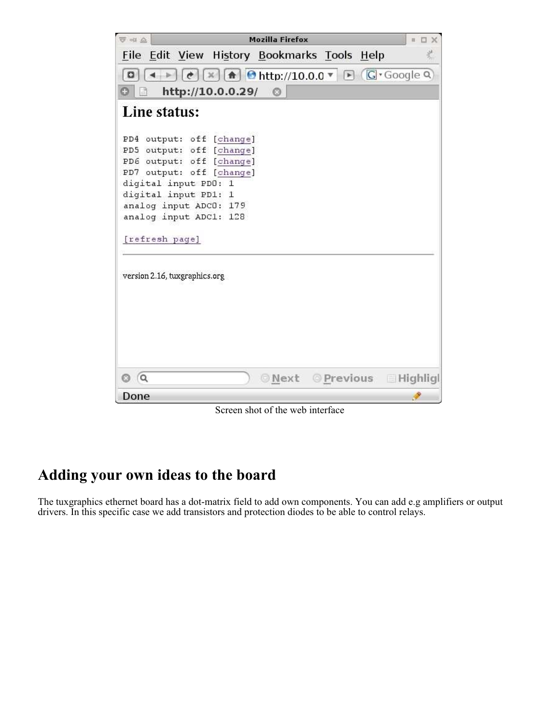| <b>Mozilla Firefox</b><br>示中心                                                                                                                                                                                                      |                 |  |  |
|------------------------------------------------------------------------------------------------------------------------------------------------------------------------------------------------------------------------------------|-----------------|--|--|
| File Edit View History Bookmarks Tools Help                                                                                                                                                                                        |                 |  |  |
| $\mathbb{R}$ $\left[\frac{1}{2} \right]$ $\Theta$ http://10.0.0 $\mathbb{R}$ $\left[\frac{1}{2} \right]$ $\left[\frac{1}{2} \right]$ $\Theta$ Google Q<br>o                                                                        |                 |  |  |
| http://10.0.0.29/<br>$\circ$                                                                                                                                                                                                       |                 |  |  |
| Line status:                                                                                                                                                                                                                       |                 |  |  |
| PD4 output: off [change]<br>PD5 output: off [change]<br>PD6 output: off [change]<br>PD7 output: off [change]<br>digital input PDO: 1<br>digital input PD1: 1<br>analog input ADCO: 179<br>analog input ADC1: 128<br>[refresh page] |                 |  |  |
| version 2.16, tuxgraphics.org                                                                                                                                                                                                      |                 |  |  |
| 0 Q<br>Next Previous                                                                                                                                                                                                               | <b>Highligh</b> |  |  |
| Done                                                                                                                                                                                                                               |                 |  |  |

Screen shot of the web interface

# **Adding your own ideas to the board**

The tuxgraphics ethernet board has a dot-matrix field to add own components. You can add e.g amplifiers or output drivers. In this specific case we add transistors and protection diodes to be able to control relays.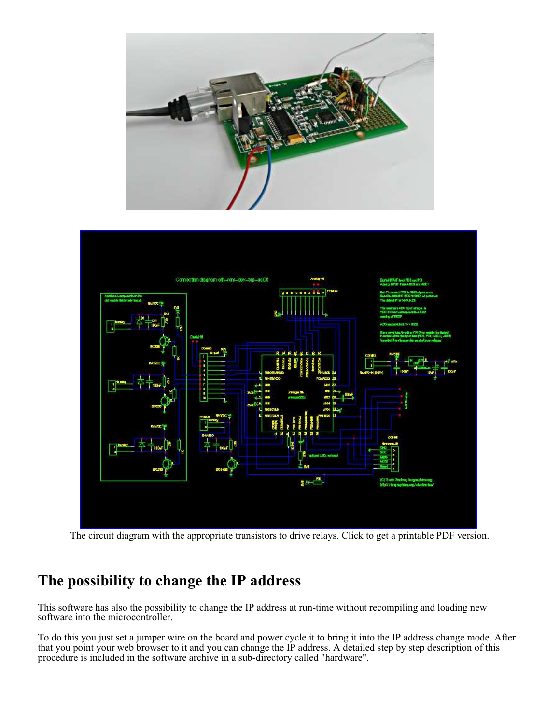



The circuit diagram with the appropriate transistors to drive relays. Click to get a printable PDF version.

## **The possibility to change the IP address**

This software has also the possibility to change the IP address at run-time without recompiling and loading new software into the microcontroller.

To do this you just set a jumper wire on the board and power cycle it to bring it into the IP address change mode. After that you point your web browser to it and you can change the IP address. A detailed step by step description of this procedure is included in the software archive in a sub-directory called "hardware".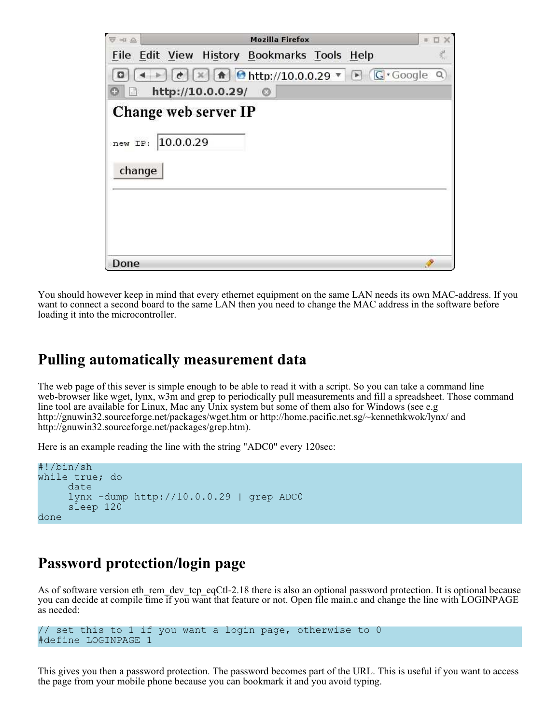| <b>Mozilla Firefox</b><br>中国 高                                                                          | $\mathbf{H}$ |
|---------------------------------------------------------------------------------------------------------|--------------|
| File Edit View History Bookmarks Tools Help                                                             |              |
| $[\times]$ $\uparrow$ $\uparrow$ http://10.0.0.29 $\vee$ $\uparrow$ $\uparrow$ $\uparrow$ Google Q<br>¢ |              |
| http://10.0.0.29/<br>$\circ$<br>ॉ                                                                       |              |
| Change web server IP                                                                                    |              |
|                                                                                                         |              |
| 10.0.0.29<br>new IP:                                                                                    |              |
| change                                                                                                  |              |
|                                                                                                         |              |
|                                                                                                         |              |
|                                                                                                         |              |
|                                                                                                         |              |
| Done                                                                                                    |              |

You should however keep in mind that every ethernet equipment on the same LAN needs its own MAC-address. If you want to connect a second board to the same LAN then you need to change the MAC address in the software before loading it into the microcontroller.

#### **Pulling automatically measurement data**

The web page of this sever is simple enough to be able to read it with a script. So you can take a command line web-browser like wget, lynx, w3m and grep to periodically pull measurements and fill a spreadsheet. Those command line tool are available for Linux, Mac any Unix system but some of them also for Windows (see e.g http://gnuwin32.sourceforge.net/packages/wget.htm or http://home.pacific.net.sg/~kennethkwok/lynx/ and http://gnuwin32.sourceforge.net/packages/grep.htm).

Here is an example reading the line with the string "ADC0" every 120sec:

```
#!/bin/sh
while true; do
      date
      lynx -dump http://10.0.0.29 | grep ADC0
      sleep 120
done
```
### **Password protection/login page**

As of software version eth rem dev tcp eqCtl-2.18 there is also an optional password protection. It is optional because you can decide at compile time if you want that feature or not. Open file main.c and change the line with LOGINPAGE as needed:

```
// set this to 1 if you want a login page, otherwise to 0
#define LOGINPAGE 1
```
This gives you then a password protection. The password becomes part of the URL. This is useful if you want to access the page from your mobile phone because you can bookmark it and you avoid typing.